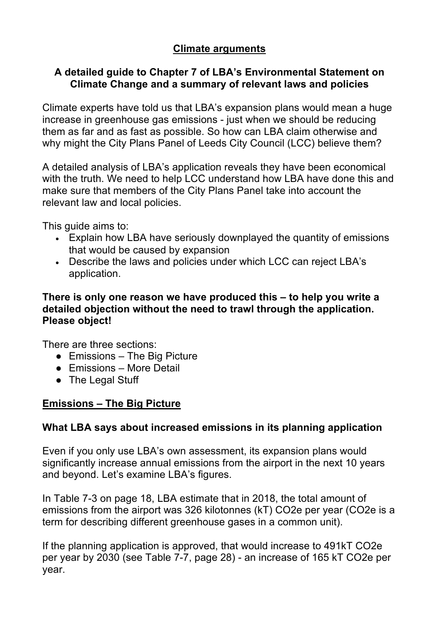# **Climate arguments**

### **A detailed guide to Chapter 7 of LBA's Environmental Statement on Climate Change and a summary of relevant laws and policies**

Climate experts have told us that LBA's expansion plans would mean a huge increase in greenhouse gas emissions - just when we should be reducing them as far and as fast as possible. So how can LBA claim otherwise and why might the City Plans Panel of Leeds City Council (LCC) believe them?

A detailed analysis of LBA's application reveals they have been economical with the truth. We need to help LCC understand how LBA have done this and make sure that members of the City Plans Panel take into account the relevant law and local policies.

This guide aims to:

- Explain how LBA have seriously downplayed the quantity of emissions that would be caused by expansion
- Describe the laws and policies under which LCC can reject LBA's application.

#### **There is only one reason we have produced this – to help you write a detailed objection without the need to trawl through the application. Please object!**

There are three sections:

- $\bullet$  Emissions The Big Picture
- Emissions More Detail
- The Legal Stuff

### **Emissions – The Big Picture**

### **What LBA says about increased emissions in its planning application**

Even if you only use LBA's own assessment, its expansion plans would significantly increase annual emissions from the airport in the next 10 years and beyond. Let's examine LBA's figures.

In Table 7-3 on page 18, LBA estimate that in 2018, the total amount of emissions from the airport was 326 kilotonnes (kT) CO2e per year (CO2e is a term for describing different greenhouse gases in a common unit).

If the planning application is approved, that would increase to 491kT CO2e per year by 2030 (see Table 7-7, page 28) - an increase of 165 kT CO2e per year.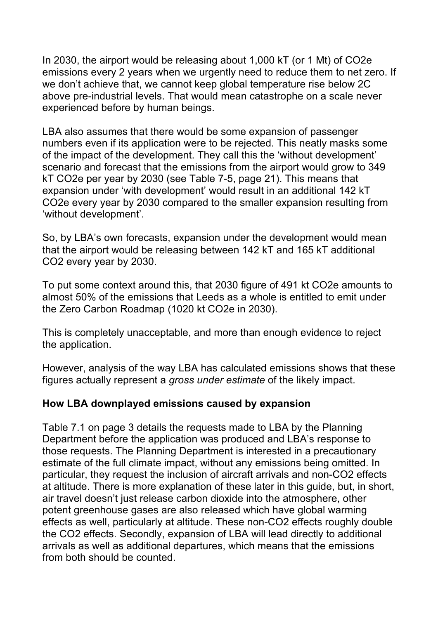In 2030, the airport would be releasing about 1,000 kT (or 1 Mt) of CO2e emissions every 2 years when we urgently need to reduce them to net zero. If we don't achieve that, we cannot keep global temperature rise below 2C above pre-industrial levels. That would mean catastrophe on a scale never experienced before by human beings.

LBA also assumes that there would be some expansion of passenger numbers even if its application were to be rejected. This neatly masks some of the impact of the development. They call this the 'without development' scenario and forecast that the emissions from the airport would grow to 349 kT CO2e per year by 2030 (see Table 7-5, page 21). This means that expansion under 'with development' would result in an additional 142 kT CO2e every year by 2030 compared to the smaller expansion resulting from 'without development'.

So, by LBA's own forecasts, expansion under the development would mean that the airport would be releasing between 142 kT and 165 kT additional CO2 every year by 2030.

To put some context around this, that 2030 figure of 491 kt CO2e amounts to almost 50% of the emissions that Leeds as a whole is entitled to emit under the Zero Carbon Roadmap (1020 kt CO2e in 2030).

This is completely unacceptable, and more than enough evidence to reject the application.

However, analysis of the way LBA has calculated emissions shows that these figures actually represent a *gross under estimate* of the likely impact.

### **How LBA downplayed emissions caused by expansion**

Table 7.1 on page 3 details the requests made to LBA by the Planning Department before the application was produced and LBA's response to those requests. The Planning Department is interested in a precautionary estimate of the full climate impact, without any emissions being omitted. In particular, they request the inclusion of aircraft arrivals and non-CO2 effects at altitude. There is more explanation of these later in this guide, but, in short, air travel doesn't just release carbon dioxide into the atmosphere, other potent greenhouse gases are also released which have global warming effects as well, particularly at altitude. These non-CO2 effects roughly double the CO2 effects. Secondly, expansion of LBA will lead directly to additional arrivals as well as additional departures, which means that the emissions from both should be counted.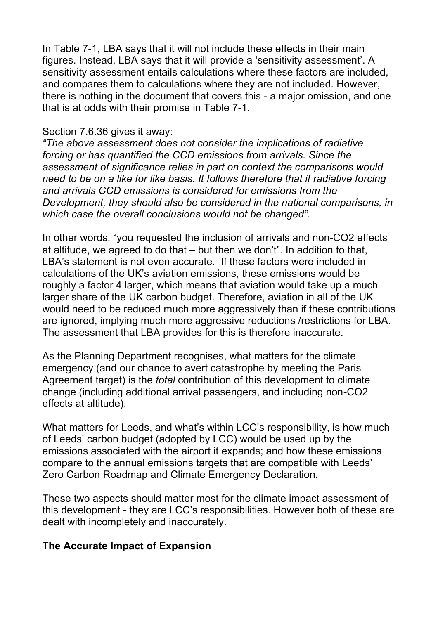In Table 7-1, LBA says that it will not include these effects in their main figures. Instead, LBA says that it will provide a 'sensitivity assessment'. A sensitivity assessment entails calculations where these factors are included, and compares them to calculations where they are not included. However, there is nothing in the document that covers this - a major omission, and one that is at odds with their promise in Table 7-1.

#### Section 7.6.36 gives it away:

*"The above assessment does not consider the implications of radiative forcing or has quantified the CCD emissions from arrivals. Since the assessment of significance relies in part on context the comparisons would need to be on a like for like basis. It follows therefore that if radiative forcing and arrivals CCD emissions is considered for emissions from the Development, they should also be considered in the national comparisons, in which case the overall conclusions would not be changed".*

In other words, "you requested the inclusion of arrivals and non-CO2 effects at altitude, we agreed to do that – but then we don't". In addition to that, LBA's statement is not even accurate. If these factors were included in calculations of the UK's aviation emissions, these emissions would be roughly a factor 4 larger, which means that aviation would take up a much larger share of the UK carbon budget. Therefore, aviation in all of the UK would need to be reduced much more aggressively than if these contributions are ignored, implying much more aggressive reductions /restrictions for LBA. The assessment that LBA provides for this is therefore inaccurate.

As the Planning Department recognises, what matters for the climate emergency (and our chance to avert catastrophe by meeting the Paris Agreement target) is the *total* contribution of this development to climate change (including additional arrival passengers, and including non-CO2 effects at altitude).

What matters for Leeds, and what's within LCC's responsibility, is how much of Leeds' carbon budget (adopted by LCC) would be used up by the emissions associated with the airport it expands; and how these emissions compare to the annual emissions targets that are compatible with Leeds' Zero Carbon Roadmap and Climate Emergency Declaration.

These two aspects should matter most for the climate impact assessment of this development - they are LCC's responsibilities. However both of these are dealt with incompletely and inaccurately.

### **The Accurate Impact of Expansion**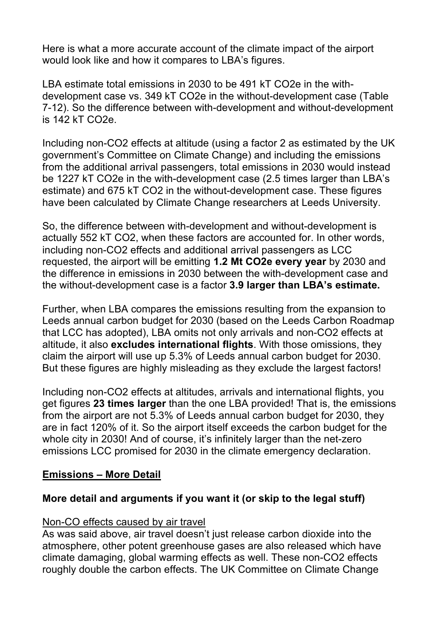Here is what a more accurate account of the climate impact of the airport would look like and how it compares to LBA's figures.

LBA estimate total emissions in 2030 to be 491 kT CO2e in the withdevelopment case vs. 349 kT CO2e in the without-development case (Table 7-12). So the difference between with-development and without-development is 142 kT CO2e.

Including non-CO2 effects at altitude (using a factor 2 as estimated by the UK government's Committee on Climate Change) and including the emissions from the additional arrival passengers, total emissions in 2030 would instead be 1227 kT CO2e in the with-development case (2.5 times larger than LBA's estimate) and 675 kT CO2 in the without-development case. These figures have been calculated by Climate Change researchers at Leeds University.

So, the difference between with-development and without-development is actually 552 kT CO2, when these factors are accounted for. In other words, including non-CO2 effects and additional arrival passengers as LCC requested, the airport will be emitting **1.2 Mt CO2e every year** by 2030 and the difference in emissions in 2030 between the with-development case and the without-development case is a factor **3.9 larger than LBA's estimate.** 

Further, when LBA compares the emissions resulting from the expansion to Leeds annual carbon budget for 2030 (based on the Leeds Carbon Roadmap that LCC has adopted), LBA omits not only arrivals and non-CO2 effects at altitude, it also **excludes international flights**. With those omissions, they claim the airport will use up 5.3% of Leeds annual carbon budget for 2030. But these figures are highly misleading as they exclude the largest factors!

Including non-CO2 effects at altitudes, arrivals and international flights, you get figures **23 times larger** than the one LBA provided! That is, the emissions from the airport are not 5.3% of Leeds annual carbon budget for 2030, they are in fact 120% of it. So the airport itself exceeds the carbon budget for the whole city in 2030! And of course, it's infinitely larger than the net-zero emissions LCC promised for 2030 in the climate emergency declaration.

### **Emissions – More Detail**

# **More detail and arguments if you want it (or skip to the legal stuff)**

### Non-CO effects caused by air travel

As was said above, air travel doesn't just release carbon dioxide into the atmosphere, other potent greenhouse gases are also released which have climate damaging, global warming effects as well. These non-CO2 effects roughly double the carbon effects. The UK Committee on Climate Change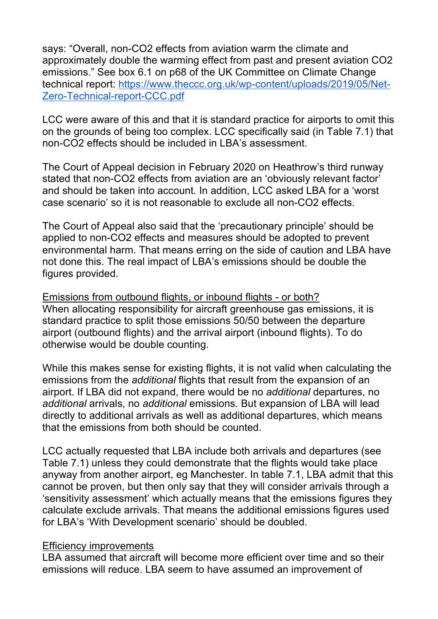says: "Overall, non-CO2 effects from aviation warm the climate and approximately double the warming effect from past and present aviation CO2 emissions." See box 6.1 on p68 of the UK Committee on Climate Change technical report: https://www.theccc.org.uk/wp-content/uploads/2019/05/Net-Zero-Technical-report-CCC.pdf

LCC were aware of this and that it is standard practice for airports to omit this on the grounds of being too complex. LCC specifically said (in Table 7.1) that non-CO2 effects should be included in LBA's assessment.

The Court of Appeal decision in February 2020 on Heathrow's third runway stated that non-CO2 effects from aviation are an 'obviously relevant factor' and should be taken into account. In addition, LCC asked LBA for a 'worst case scenario' so it is not reasonable to exclude all non-CO2 effects.

The Court of Appeal also said that the 'precautionary principle' should be applied to non-CO2 effects and measures should be adopted to prevent environmental harm. That means erring on the side of caution and LBA have not done this. The real impact of LBA's emissions should be double the figures provided.

Emissions from outbound flights, or inbound flights - or both? When allocating responsibility for aircraft greenhouse gas emissions, it is standard practice to split those emissions 50/50 between the departure airport (outbound flights) and the arrival airport (inbound flights). To do otherwise would be double counting.

While this makes sense for existing flights, it is not valid when calculating the emissions from the *additional* flights that result from the expansion of an airport. If LBA did not expand, there would be no *additional* departures, no *additional* arrivals, no *additional* emissions. But expansion of LBA will lead directly to additional arrivals as well as additional departures, which means that the emissions from both should be counted.

LCC actually requested that LBA include both arrivals and departures (see Table 7.1) unless they could demonstrate that the flights would take place anyway from another airport, eg Manchester. In table 7.1, LBA admit that this cannot be proven, but then only say that they will consider arrivals through a 'sensitivity assessment' which actually means that the emissions figures they calculate exclude arrivals. That means the additional emissions figures used for LBA's 'With Development scenario' should be doubled.

#### Efficiency improvements

LBA assumed that aircraft will become more efficient over time and so their emissions will reduce. LBA seem to have assumed an improvement of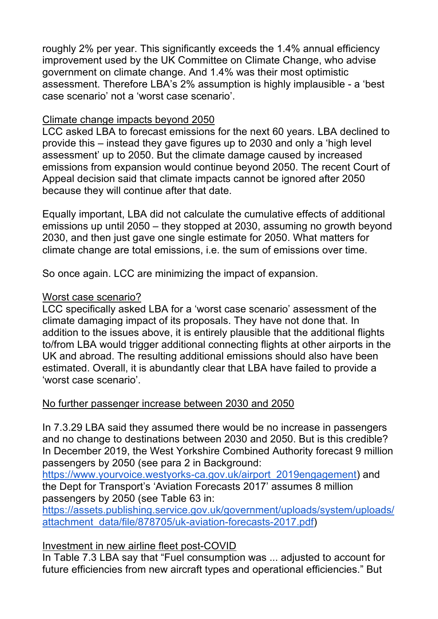roughly 2% per year. This significantly exceeds the 1.4% annual efficiency improvement used by the UK Committee on Climate Change, who advise government on climate change. And 1.4% was their most optimistic assessment. Therefore LBA's 2% assumption is highly implausible - a 'best case scenario' not a 'worst case scenario'.

### Climate change impacts beyond 2050

LCC asked LBA to forecast emissions for the next 60 years. LBA declined to provide this – instead they gave figures up to 2030 and only a 'high level assessment' up to 2050. But the climate damage caused by increased emissions from expansion would continue beyond 2050. The recent Court of Appeal decision said that climate impacts cannot be ignored after 2050 because they will continue after that date.

Equally important, LBA did not calculate the cumulative effects of additional emissions up until 2050 – they stopped at 2030, assuming no growth beyond 2030, and then just gave one single estimate for 2050. What matters for climate change are total emissions, i.e. the sum of emissions over time.

So once again. LCC are minimizing the impact of expansion.

### Worst case scenario?

LCC specifically asked LBA for a 'worst case scenario' assessment of the climate damaging impact of its proposals. They have not done that. In addition to the issues above, it is entirely plausible that the additional flights to/from LBA would trigger additional connecting flights at other airports in the UK and abroad. The resulting additional emissions should also have been estimated. Overall, it is abundantly clear that LBA have failed to provide a 'worst case scenario'.

### No further passenger increase between 2030 and 2050

In 7.3.29 LBA said they assumed there would be no increase in passengers and no change to destinations between 2030 and 2050. But is this credible? In December 2019, the West Yorkshire Combined Authority forecast 9 million passengers by 2050 (see para 2 in Background:

https://www.yourvoice.westyorks-ca.gov.uk/airport\_2019engagement) and the Dept for Transport's 'Aviation Forecasts 2017' assumes 8 million passengers by 2050 (see Table 63 in:

https://assets.publishing.service.gov.uk/government/uploads/system/uploads/ attachment\_data/file/878705/uk-aviation-forecasts-2017.pdf)

# Investment in new airline fleet post-COVID

In Table 7.3 LBA say that "Fuel consumption was ... adjusted to account for future efficiencies from new aircraft types and operational efficiencies." But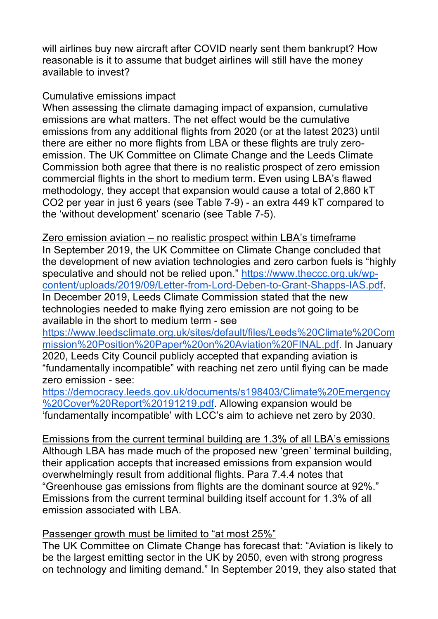will airlines buy new aircraft after COVID nearly sent them bankrupt? How reasonable is it to assume that budget airlines will still have the money available to invest?

### Cumulative emissions impact

When assessing the climate damaging impact of expansion, cumulative emissions are what matters. The net effect would be the cumulative emissions from any additional flights from 2020 (or at the latest 2023) until there are either no more flights from LBA or these flights are truly zeroemission. The UK Committee on Climate Change and the Leeds Climate Commission both agree that there is no realistic prospect of zero emission commercial flights in the short to medium term. Even using LBA's flawed methodology, they accept that expansion would cause a total of 2,860 kT CO2 per year in just 6 years (see Table 7-9) - an extra 449 kT compared to the 'without development' scenario (see Table 7-5).

Zero emission aviation – no realistic prospect within LBA's timeframe In September 2019, the UK Committee on Climate Change concluded that the development of new aviation technologies and zero carbon fuels is "highly speculative and should not be relied upon." https://www.theccc.org.uk/wpcontent/uploads/2019/09/Letter-from-Lord-Deben-to-Grant-Shapps-IAS.pdf. In December 2019, Leeds Climate Commission stated that the new technologies needed to make flying zero emission are not going to be available in the short to medium term - see

https://www.leedsclimate.org.uk/sites/default/files/Leeds%20Climate%20Com mission%20Position%20Paper%20on%20Aviation%20FINAL.pdf. In January 2020, Leeds City Council publicly accepted that expanding aviation is "fundamentally incompatible" with reaching net zero until flying can be made zero emission - see:

https://democracy.leeds.gov.uk/documents/s198403/Climate%20Emergency %20Cover%20Report%20191219.pdf. Allowing expansion would be 'fundamentally incompatible' with LCC's aim to achieve net zero by 2030.

Emissions from the current terminal building are 1.3% of all LBA's emissions Although LBA has made much of the proposed new 'green' terminal building, their application accepts that increased emissions from expansion would overwhelmingly result from additional flights. Para 7.4.4 notes that "Greenhouse gas emissions from flights are the dominant source at 92%." Emissions from the current terminal building itself account for 1.3% of all emission associated with LBA.

# Passenger growth must be limited to "at most 25%"

The UK Committee on Climate Change has forecast that: "Aviation is likely to be the largest emitting sector in the UK by 2050, even with strong progress on technology and limiting demand." In September 2019, they also stated that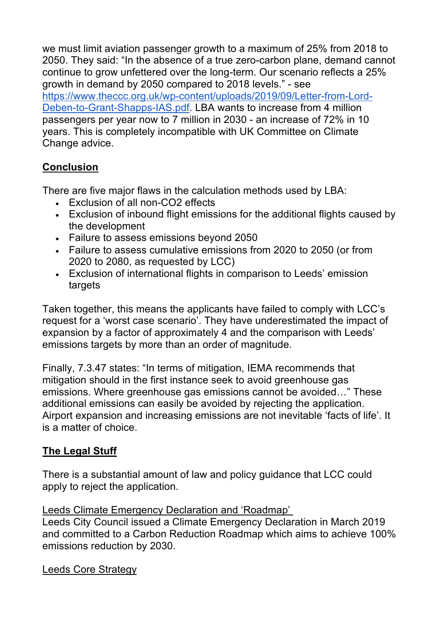we must limit aviation passenger growth to a maximum of 25% from 2018 to 2050. They said: "In the absence of a true zero-carbon plane, demand cannot continue to grow unfettered over the long-term. Our scenario reflects a 25% growth in demand by 2050 compared to 2018 levels." - see https://www.theccc.org.uk/wp-content/uploads/2019/09/Letter-from-Lord-Deben-to-Grant-Shapps-IAS.pdf. LBA wants to increase from 4 million passengers per year now to 7 million in 2030 - an increase of 72% in 10 years. This is completely incompatible with UK Committee on Climate Change advice.

# **Conclusion**

There are five major flaws in the calculation methods used by LBA:

- Exclusion of all non-CO2 effects
- Exclusion of inbound flight emissions for the additional flights caused by the development
- Failure to assess emissions beyond 2050
- Failure to assess cumulative emissions from 2020 to 2050 (or from 2020 to 2080, as requested by LCC)
- Exclusion of international flights in comparison to Leeds' emission targets

Taken together, this means the applicants have failed to comply with LCC's request for a 'worst case scenario'. They have underestimated the impact of expansion by a factor of approximately 4 and the comparison with Leeds' emissions targets by more than an order of magnitude.

Finally, 7.3.47 states: "In terms of mitigation, IEMA recommends that mitigation should in the first instance seek to avoid greenhouse gas emissions. Where greenhouse gas emissions cannot be avoided…" These additional emissions can easily be avoided by rejecting the application. Airport expansion and increasing emissions are not inevitable 'facts of life'. It is a matter of choice.

# **The Legal Stuff**

There is a substantial amount of law and policy guidance that LCC could apply to reject the application.

### Leeds Climate Emergency Declaration and 'Roadmap'

Leeds City Council issued a Climate Emergency Declaration in March 2019 and committed to a Carbon Reduction Roadmap which aims to achieve 100% emissions reduction by 2030.

Leeds Core Strategy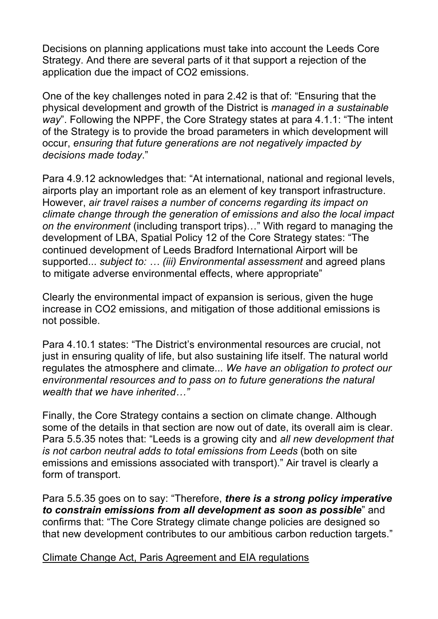Decisions on planning applications must take into account the Leeds Core Strategy. And there are several parts of it that support a rejection of the application due the impact of CO2 emissions.

One of the key challenges noted in para 2.42 is that of: "Ensuring that the physical development and growth of the District is *managed in a sustainable way*". Following the NPPF, the Core Strategy states at para 4.1.1: "The intent of the Strategy is to provide the broad parameters in which development will occur, *ensuring that future generations are not negatively impacted by decisions made today*."

Para 4.9.12 acknowledges that: "At international, national and regional levels, airports play an important role as an element of key transport infrastructure. However, *air travel raises a number of concerns regarding its impact on climate change through the generation of emissions and also the local impact on the environment* (including transport trips)…" With regard to managing the development of LBA, Spatial Policy 12 of the Core Strategy states: "The continued development of Leeds Bradford International Airport will be supported... *subject to: … (iii) Environmental assessment* and agreed plans to mitigate adverse environmental effects, where appropriate"

Clearly the environmental impact of expansion is serious, given the huge increase in CO2 emissions, and mitigation of those additional emissions is not possible.

Para 4.10.1 states: "The District's environmental resources are crucial, not just in ensuring quality of life, but also sustaining life itself. The natural world regulates the atmosphere and climate... *We have an obligation to protect our environmental resources and to pass on to future generations the natural wealth that we have inherited…"*

Finally, the Core Strategy contains a section on climate change. Although some of the details in that section are now out of date, its overall aim is clear. Para 5.5.35 notes that: "Leeds is a growing city and *all new development that is not carbon neutral adds to total emissions from Leeds* (both on site emissions and emissions associated with transport)." Air travel is clearly a form of transport.

Para 5.5.35 goes on to say: "Therefore, *there is a strong policy imperative to constrain emissions from all development as soon as possible*" and confirms that: "The Core Strategy climate change policies are designed so that new development contributes to our ambitious carbon reduction targets."

Climate Change Act, Paris Agreement and EIA regulations